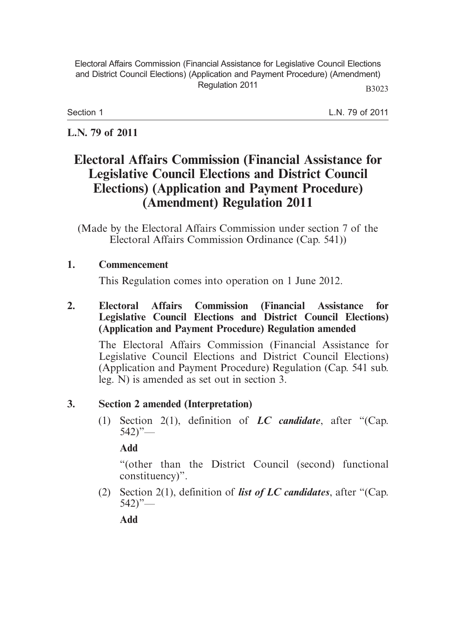Electoral Affairs Commission (Financial Assistance for Legislative Council Elections and District Council Elections) (Application and Payment Procedure) (Amendment) Regulation 2011 B3023

Section 1

L.N. 79 of 2011

# **L.N. 79 of 2011**

# **Electoral Affairs Commission (Financial Assistance for Legislative Council Elections and District Council Elections) (Application and Payment Procedure) (Amendment) Regulation 2011**

(Made by the Electoral Affairs Commission under section 7 of the Electoral Affairs Commission Ordinance (Cap. 541))

## **1. Commencement**

This Regulation comes into operation on 1 June 2012.

### **2. Electoral Affairs Commission (Financial Assistance for Legislative Council Elections and District Council Elections) (Application and Payment Procedure) Regulation amended**

The Electoral Affairs Commission (Financial Assistance for Legislative Council Elections and District Council Elections) (Application and Payment Procedure) Regulation (Cap. 541 sub. leg. N) is amended as set out in section 3.

# **3. Section 2 amended (Interpretation)**

 (1) Section 2(1), definition of *LC candidate*, after "(Cap.  $542$ "

**Add**

"(other than the District Council (second) functional constituency)".

 (2) Section 2(1), definition of *list of LC candidates*, after "(Cap.  $542$ "—

**Add**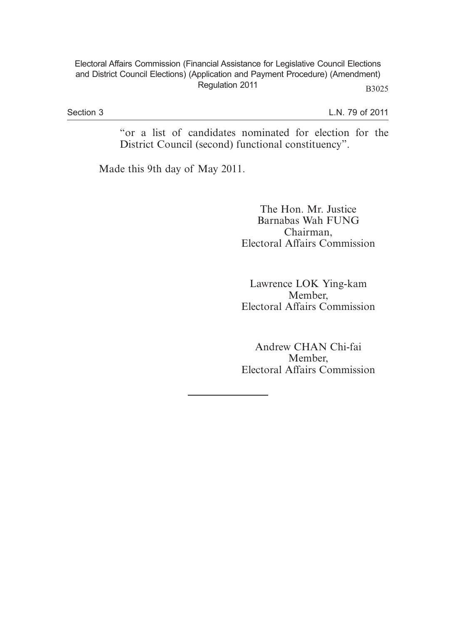#### Electoral Affairs Commission (Financial Assistance for Legislative Council Elections and District Council Elections) (Application and Payment Procedure) (Amendment) Regulation 2011 B3025

Section 3

L.N. 79 of 2011

"or a list of candidates nominated for election for the District Council (second) functional constituency".

Made this 9th day of May 2011.

The Hon. Mr. Justice Barnabas Wah FUNG Chairman, Electoral Affairs Commission

Lawrence LOK Ying-kam Member, Electoral Affairs Commission

Andrew CHAN Chi-fai Member, Electoral Affairs Commission